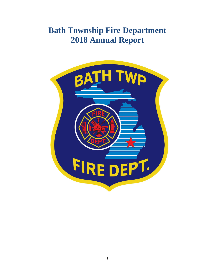# **Bath Township Fire Department 2018 Annual Report**

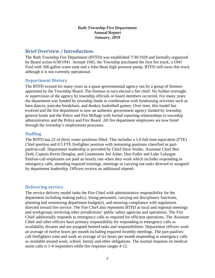#### **Bath Township Fire Department Annual Report January, 2019**

# **Brief Overview / Introduction:**

The Bath Township Fire Department (BTFD) was established 7/30/1929 and formally organized by Board action 6/30/1941. Around 1945, the Township purchased the first fire truck, a 1945 Ford with 500 gallon water tank and a John Bean high pressure pump. BTFD still owns this truck although it is not currently operational.

## **Department History**

The BTFD existed for many years as a quasi-governmental agency run by a group of firemen appointed by the Township Board. The firemen in turn elected a fire chief. No further oversight or supervision of the agency by township officials or board members occurred. For many years the department was funded by township funds in combination with fundraising activities such as barn dances, pancake breakfasts, and donkey basketball games. Over time, this model has evolved and the fire department is now an authentic government agency funded by township general funds and the Police and Fire Millage with formal reporting relationships to township administration and the Police and Fire Board. All fire department employees are now hired through the township's employment processes.

## **Staffing**

The BTFD has 22 of thirty roster positions filled. This includes a 1.0 full-time equivalent (FTE) Chief position and 0.5 FTE firefighter position with remaining positions classified as partpaid/on-call. Department leadership is provided by Chief Dave Snider, Assistant Chief Ben Zeeb, Captain Kevin Douglas, and Lieutenants Jed Asher, Don Fuller and Luke Lafargue. Paid/on-call employees are paid an hourly rate when they work which includes responding to emergency calls, attending required trainings, meetings or carrying out tasks directed or assigned by department leadership. Officers receive an additional stipend.

# **Delivering service**

The service delivery model tasks the Fire Chief with administrative responsibility for the department including making policy, hiring personnel, carrying out disciplinary functions, planning and monitoring department budget(s), and ensuring compliance with regulations directed toward fire service. The Fire Chief also represents BTFD at local and regional meetings and workgroups involving other jurisdictions' public safety agencies and operations. The Fire Chief additionally responds to emergency calls as required for efficient operations. The Assistant Chief and other officers have primary responsibility for responding to emergency calls as availability dictates and are assigned limited tasks and responsibilities. Department officers work an average of twelve hours per month including required monthly meetings. The part-paid/oncall firefighters train and work an average of six hours per month responding to emergency calls as available around work, school, family and other obligations. The normal response on medical assist calls is 1-4 responders while fire response ranges 4-12.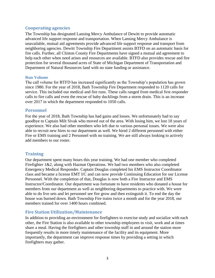## **Cooperating agencies**

The Township has designated Lansing Mercy Ambulance of Dewitt to provide automatic advanced life support response and transportation. When Lansing Mercy Ambulance is unavailable, mutual aid agreements provide advanced life support response and transport from neighboring agencies. Dewitt Township Fire Department assists BTFD on an automatic basis for fire calls. Further, all Clinton County Fire Departments have signed a mutual aid agreement to help each other when need arises and resources are available. BTFD also provides rescue and fire protection for several thousand acres of State of Michigan Department of Transportation and Department of Natural Resources land with no state funding or assistance.

#### **Run Volume**

The call volume for BTFD has increased significantly as the Township's population has grown since 1980. For the year of 2018, Bath Township Fire Department responded to 1120 calls for service. This included our medical and fire runs. These calls ranged from medical first responder calls to fire calls and even the rescue of baby ducklings from a storm drain. This is an increase over 2017 in which the department responded to 1050 calls.

#### **Personnel**

For the year of 2018, Bath Township has had gains and losses. We unfortunately had to say goodbye to Captain Milt Sivak who moved out of the area. With losing him, we lost 18 years of experience. We also had other members who left due to various personal issues. We were also able to recruit new hires to our department as well. We hired 2 different personnel with either Fire or EMS training and 2 Personnel with no training. We are still always looking to actively add members to our roster.

# **Training**

Our department spent many hours this year training. We had one member who completed Firefighter 1&2, along with Hazmat Operations. We had two members who also completed Emergency Medical Responder. Captain Douglas completed his EMS Instructor Coordinator class and became a license EMT I/C and can now provide Continuing Education for our License Personnel. With the completion of that, Douglas is now both a Fire Instructor and EMS Instructor/Coordinator. Our department was fortunate to have residents who donated a house for members from our department as well as neighboring departments to practice with. We were able to do live sets and let personnel see fire grow and then extinguish it. To end the day the house was burned down. Bath Township Fire trains twice a month and for the year 2018, our members trained for over 1400 hours combined.

# **Fire Station Utilization/Maintenance**

In addition to providing an environment for firefighters to exercise study and socialize with each other, the Fire Station is also available to other township employees to visit, work and at times share a meal. Having the firefighters and other township staff in and around the station more frequently results in more timely maintenance of the facility and its equipment. More importantly, the department can improve response times by providing a setting in which firefighters may gather.